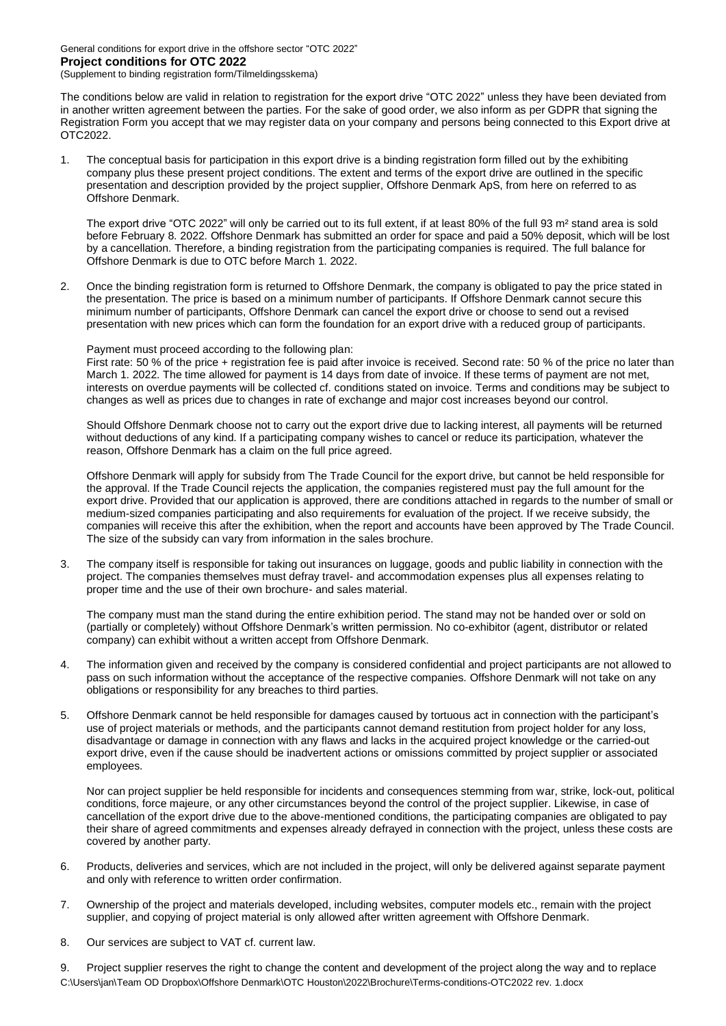General conditions for export drive in the offshore sector "OTC 2022" **Project conditions for OTC 2022** (Supplement to binding registration form/Tilmeldingsskema)

The conditions below are valid in relation to registration for the export drive "OTC 2022" unless they have been deviated from in another written agreement between the parties. For the sake of good order, we also inform as per GDPR that signing the Registration Form you accept that we may register data on your company and persons being connected to this Export drive at OTC2022.

1. The conceptual basis for participation in this export drive is a binding registration form filled out by the exhibiting company plus these present project conditions. The extent and terms of the export drive are outlined in the specific presentation and description provided by the project supplier, Offshore Denmark ApS, from here on referred to as Offshore Denmark.

The export drive "OTC 2022" will only be carried out to its full extent, if at least 80% of the full 93 m² stand area is sold before February 8. 2022. Offshore Denmark has submitted an order for space and paid a 50% deposit, which will be lost by a cancellation. Therefore, a binding registration from the participating companies is required. The full balance for Offshore Denmark is due to OTC before March 1. 2022.

2. Once the binding registration form is returned to Offshore Denmark, the company is obligated to pay the price stated in the presentation. The price is based on a minimum number of participants. If Offshore Denmark cannot secure this minimum number of participants, Offshore Denmark can cancel the export drive or choose to send out a revised presentation with new prices which can form the foundation for an export drive with a reduced group of participants.

Payment must proceed according to the following plan:

First rate: 50 % of the price + registration fee is paid after invoice is received. Second rate: 50 % of the price no later than March 1. 2022. The time allowed for payment is 14 days from date of invoice. If these terms of payment are not met, interests on overdue payments will be collected cf. conditions stated on invoice. Terms and conditions may be subject to changes as well as prices due to changes in rate of exchange and major cost increases beyond our control.

Should Offshore Denmark choose not to carry out the export drive due to lacking interest, all payments will be returned without deductions of any kind. If a participating company wishes to cancel or reduce its participation, whatever the reason, Offshore Denmark has a claim on the full price agreed.

Offshore Denmark will apply for subsidy from The Trade Council for the export drive, but cannot be held responsible for the approval. If the Trade Council rejects the application, the companies registered must pay the full amount for the export drive. Provided that our application is approved, there are conditions attached in regards to the number of small or medium-sized companies participating and also requirements for evaluation of the project. If we receive subsidy, the companies will receive this after the exhibition, when the report and accounts have been approved by The Trade Council. The size of the subsidy can vary from information in the sales brochure.

3. The company itself is responsible for taking out insurances on luggage, goods and public liability in connection with the project. The companies themselves must defray travel- and accommodation expenses plus all expenses relating to proper time and the use of their own brochure- and sales material.

The company must man the stand during the entire exhibition period. The stand may not be handed over or sold on (partially or completely) without Offshore Denmark's written permission. No co-exhibitor (agent, distributor or related company) can exhibit without a written accept from Offshore Denmark.

- 4. The information given and received by the company is considered confidential and project participants are not allowed to pass on such information without the acceptance of the respective companies. Offshore Denmark will not take on any obligations or responsibility for any breaches to third parties.
- 5. Offshore Denmark cannot be held responsible for damages caused by tortuous act in connection with the participant's use of project materials or methods, and the participants cannot demand restitution from project holder for any loss, disadvantage or damage in connection with any flaws and lacks in the acquired project knowledge or the carried-out export drive, even if the cause should be inadvertent actions or omissions committed by project supplier or associated employees.

Nor can project supplier be held responsible for incidents and consequences stemming from war, strike, lock-out, political conditions, force majeure, or any other circumstances beyond the control of the project supplier. Likewise, in case of cancellation of the export drive due to the above-mentioned conditions, the participating companies are obligated to pay their share of agreed commitments and expenses already defrayed in connection with the project, unless these costs are covered by another party.

- 6. Products, deliveries and services, which are not included in the project, will only be delivered against separate payment and only with reference to written order confirmation.
- 7. Ownership of the project and materials developed, including websites, computer models etc., remain with the project supplier, and copying of project material is only allowed after written agreement with Offshore Denmark.
- 8. Our services are subject to VAT cf. current law.

C:\Users\jan\Team OD Dropbox\Offshore Denmark\OTC Houston\2022\Brochure\Terms-conditions-OTC2022 rev. 1.docx 9. Project supplier reserves the right to change the content and development of the project along the way and to replace